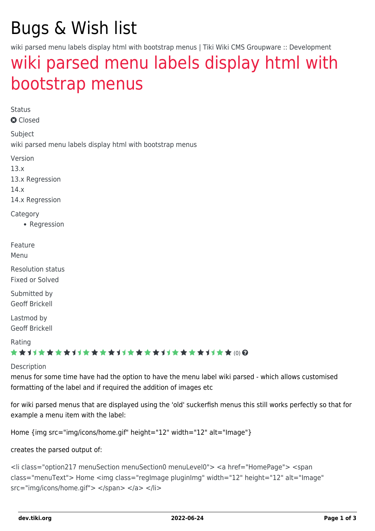# Bugs & Wish list

wiki parsed menu labels display html with bootstrap menus | Tiki Wiki CMS Groupware :: Development

## [wiki parsed menu labels display html with](https://dev.tiki.org/item5334-wiki-parsed-menu-labels-display-html-with-bootstrap-menus) [bootstrap menus](https://dev.tiki.org/item5334-wiki-parsed-menu-labels-display-html-with-bootstrap-menus)

Status

**a** Closed

Subject

wiki parsed menu labels display html with bootstrap menus

Version

13.x

13.x Regression

14.x

14.x Regression

**Category** 

• Regression

Feature

Menu

Resolution status Fixed or Solved

Submitted by Geoff Brickell

Lastmod by Geoff Brickell

#### Rating

#### \*\*\*\*\*\*\*\*\*\*\*\*\*\*\*\*\*\*\*\*\*\*\*\*\*\*\*\*\*\*

#### Description

menus for some time have had the option to have the menu label wiki parsed - which allows customised formatting of the label and if required the addition of images etc

for wiki parsed menus that are displayed using the 'old' suckerfish menus this still works perfectly so that for example a menu item with the label:

Home {img src="img/icons/home.gif" height="12" width="12" alt="Image"}

creates the parsed output of:

```
<li class="option217 menuSection menuSection0 menuLevel0"> <a href="HomePage"> <span
class="menuText"> Home <img class="regImage pluginImg" width="12" height="12" alt="Image"
src="img/icons/home.gif"> </span> </a> </li>
```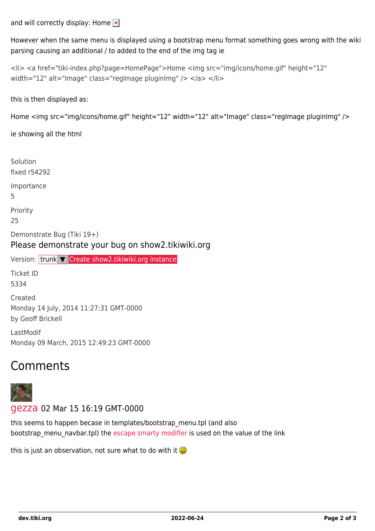and will correctly display: Home  $\vert \cdot \vert$ 

However when the same menu is displayed using a bootstrap menu format something goes wrong with the wiki parsing causing an additional / to added to the end of the img tag ie

```
<li> <a href="tiki-index.php?page=HomePage">Home <img src="img/icons/home.gif" height="12"
width="12" alt="Image" class="regImage pluginImg" /> </a> </li>
```
this is then displayed as:

```
Home <img src="img/icons/home.gif" height="12" width="12" alt="Image" class="regImage pluginImg" />
```
ie showing all the html

Solution fixed r54292 Importance 5 Priority 25 Demonstrate Bug (Tiki 19+) Please demonstrate your bug on show2.tikiwiki.org Version: trunk ▼ [Create show2.tikiwiki.org instance](#page--1-0) Ticket ID 5334 Created Monday 14 July, 2014 11:27:31 GMT-0000 by Geoff Brickell LastModif Monday 09 March, 2015 12:49:23 GMT-0000

### Comments



#### [gezza](https://dev.tiki.org/user10565) 02 Mar 15 16:19 GMT-0000

this seems to happen becase in templates/bootstrap\_menu.tpl (and also bootstrap menu navbar.tpl) the [escape smarty modifier](http://www.smarty.net/docsv2/en/language.modifier.escape) is used on the value of the link

this is just an observation, not sure what to do with it